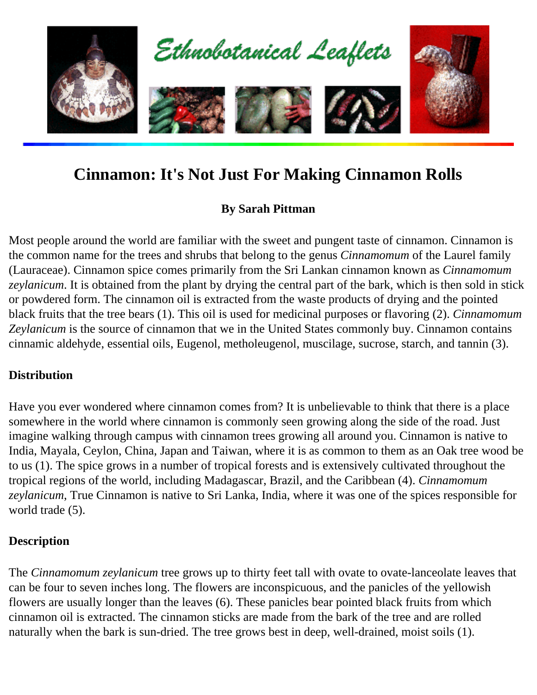

# **Cinnamon: It's Not Just For Making Cinnamon Rolls**

# **By Sarah Pittman**

Most people around the world are familiar with the sweet and pungent taste of cinnamon. Cinnamon is the common name for the trees and shrubs that belong to the genus *Cinnamomum* of the Laurel family (Lauraceae). Cinnamon spice comes primarily from the Sri Lankan cinnamon known as *Cinnamomum zeylanicum*. It is obtained from the plant by drying the central part of the bark, which is then sold in stick or powdered form. The cinnamon oil is extracted from the waste products of drying and the pointed black fruits that the tree bears (1). This oil is used for medicinal purposes or flavoring (2). *Cinnamomum Zeylanicum* is the source of cinnamon that we in the United States commonly buy. Cinnamon contains cinnamic aldehyde, essential oils, Eugenol, metholeugenol, muscilage, sucrose, starch, and tannin (3).

### **Distribution**

Have you ever wondered where cinnamon comes from? It is unbelievable to think that there is a place somewhere in the world where cinnamon is commonly seen growing along the side of the road. Just imagine walking through campus with cinnamon trees growing all around you. Cinnamon is native to India, Mayala, Ceylon, China, Japan and Taiwan, where it is as common to them as an Oak tree wood be to us (1). The spice grows in a number of tropical forests and is extensively cultivated throughout the tropical regions of the world, including Madagascar, Brazil, and the Caribbean (4). *Cinnamomum zeylanicum*, True Cinnamon is native to Sri Lanka, India, where it was one of the spices responsible for world trade (5).

# **Description**

The *Cinnamomum zeylanicum* tree grows up to thirty feet tall with ovate to ovate-lanceolate leaves that can be four to seven inches long. The flowers are inconspicuous, and the panicles of the yellowish flowers are usually longer than the leaves (6). These panicles bear pointed black fruits from which cinnamon oil is extracted. The cinnamon sticks are made from the bark of the tree and are rolled naturally when the bark is sun-dried. The tree grows best in deep, well-drained, moist soils (1).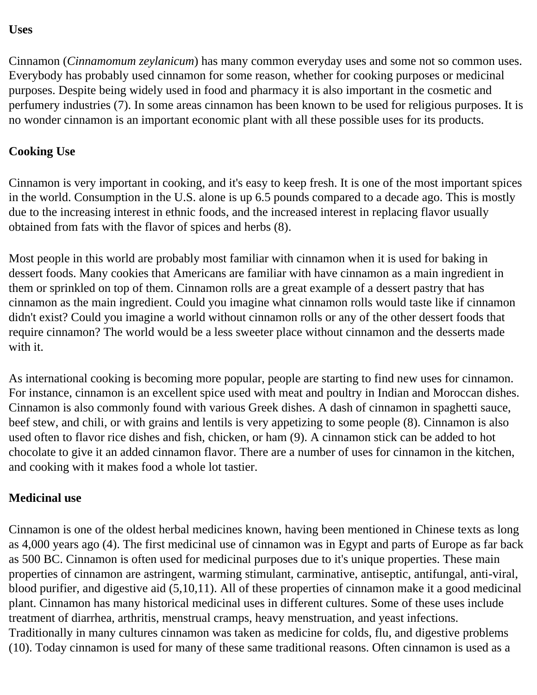#### **Uses**

Cinnamon (*Cinnamomum zeylanicum*) has many common everyday uses and some not so common uses. Everybody has probably used cinnamon for some reason, whether for cooking purposes or medicinal purposes. Despite being widely used in food and pharmacy it is also important in the cosmetic and perfumery industries (7). In some areas cinnamon has been known to be used for religious purposes. It is no wonder cinnamon is an important economic plant with all these possible uses for its products.

# **Cooking Use**

Cinnamon is very important in cooking, and it's easy to keep fresh. It is one of the most important spices in the world. Consumption in the U.S. alone is up 6.5 pounds compared to a decade ago. This is mostly due to the increasing interest in ethnic foods, and the increased interest in replacing flavor usually obtained from fats with the flavor of spices and herbs (8).

Most people in this world are probably most familiar with cinnamon when it is used for baking in dessert foods. Many cookies that Americans are familiar with have cinnamon as a main ingredient in them or sprinkled on top of them. Cinnamon rolls are a great example of a dessert pastry that has cinnamon as the main ingredient. Could you imagine what cinnamon rolls would taste like if cinnamon didn't exist? Could you imagine a world without cinnamon rolls or any of the other dessert foods that require cinnamon? The world would be a less sweeter place without cinnamon and the desserts made with it.

As international cooking is becoming more popular, people are starting to find new uses for cinnamon. For instance, cinnamon is an excellent spice used with meat and poultry in Indian and Moroccan dishes. Cinnamon is also commonly found with various Greek dishes. A dash of cinnamon in spaghetti sauce, beef stew, and chili, or with grains and lentils is very appetizing to some people (8). Cinnamon is also used often to flavor rice dishes and fish, chicken, or ham (9). A cinnamon stick can be added to hot chocolate to give it an added cinnamon flavor. There are a number of uses for cinnamon in the kitchen, and cooking with it makes food a whole lot tastier.

### **Medicinal use**

Cinnamon is one of the oldest herbal medicines known, having been mentioned in Chinese texts as long as 4,000 years ago (4). The first medicinal use of cinnamon was in Egypt and parts of Europe as far back as 500 BC. Cinnamon is often used for medicinal purposes due to it's unique properties. These main properties of cinnamon are astringent, warming stimulant, carminative, antiseptic, antifungal, anti-viral, blood purifier, and digestive aid (5,10,11). All of these properties of cinnamon make it a good medicinal plant. Cinnamon has many historical medicinal uses in different cultures. Some of these uses include treatment of diarrhea, arthritis, menstrual cramps, heavy menstruation, and yeast infections. Traditionally in many cultures cinnamon was taken as medicine for colds, flu, and digestive problems (10). Today cinnamon is used for many of these same traditional reasons. Often cinnamon is used as a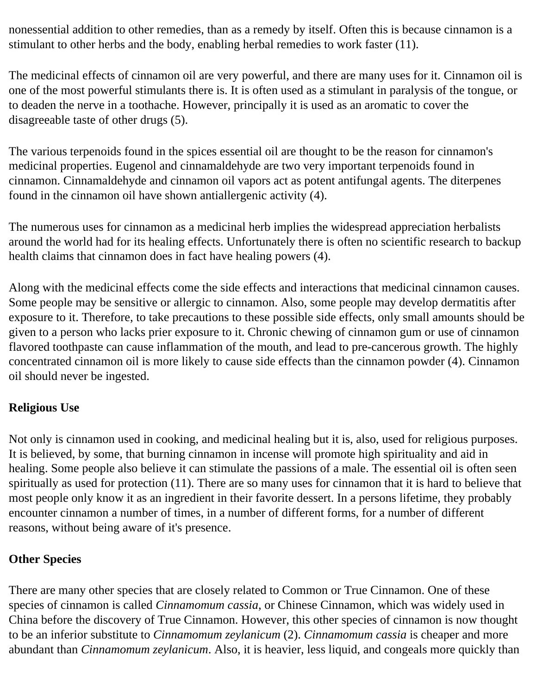nonessential addition to other remedies, than as a remedy by itself. Often this is because cinnamon is a stimulant to other herbs and the body, enabling herbal remedies to work faster (11).

The medicinal effects of cinnamon oil are very powerful, and there are many uses for it. Cinnamon oil is one of the most powerful stimulants there is. It is often used as a stimulant in paralysis of the tongue, or to deaden the nerve in a toothache. However, principally it is used as an aromatic to cover the disagreeable taste of other drugs (5).

The various terpenoids found in the spices essential oil are thought to be the reason for cinnamon's medicinal properties. Eugenol and cinnamaldehyde are two very important terpenoids found in cinnamon. Cinnamaldehyde and cinnamon oil vapors act as potent antifungal agents. The diterpenes found in the cinnamon oil have shown antiallergenic activity (4).

The numerous uses for cinnamon as a medicinal herb implies the widespread appreciation herbalists around the world had for its healing effects. Unfortunately there is often no scientific research to backup health claims that cinnamon does in fact have healing powers (4).

Along with the medicinal effects come the side effects and interactions that medicinal cinnamon causes. Some people may be sensitive or allergic to cinnamon. Also, some people may develop dermatitis after exposure to it. Therefore, to take precautions to these possible side effects, only small amounts should be given to a person who lacks prier exposure to it. Chronic chewing of cinnamon gum or use of cinnamon flavored toothpaste can cause inflammation of the mouth, and lead to pre-cancerous growth. The highly concentrated cinnamon oil is more likely to cause side effects than the cinnamon powder (4). Cinnamon oil should never be ingested.

# **Religious Use**

Not only is cinnamon used in cooking, and medicinal healing but it is, also, used for religious purposes. It is believed, by some, that burning cinnamon in incense will promote high spirituality and aid in healing. Some people also believe it can stimulate the passions of a male. The essential oil is often seen spiritually as used for protection (11). There are so many uses for cinnamon that it is hard to believe that most people only know it as an ingredient in their favorite dessert. In a persons lifetime, they probably encounter cinnamon a number of times, in a number of different forms, for a number of different reasons, without being aware of it's presence.

# **Other Species**

There are many other species that are closely related to Common or True Cinnamon. One of these species of cinnamon is called *Cinnamomum cassia*, or Chinese Cinnamon, which was widely used in China before the discovery of True Cinnamon. However, this other species of cinnamon is now thought to be an inferior substitute to *Cinnamomum zeylanicum* (2). *Cinnamomum cassia* is cheaper and more abundant than *Cinnamomum zeylanicum*. Also, it is heavier, less liquid, and congeals more quickly than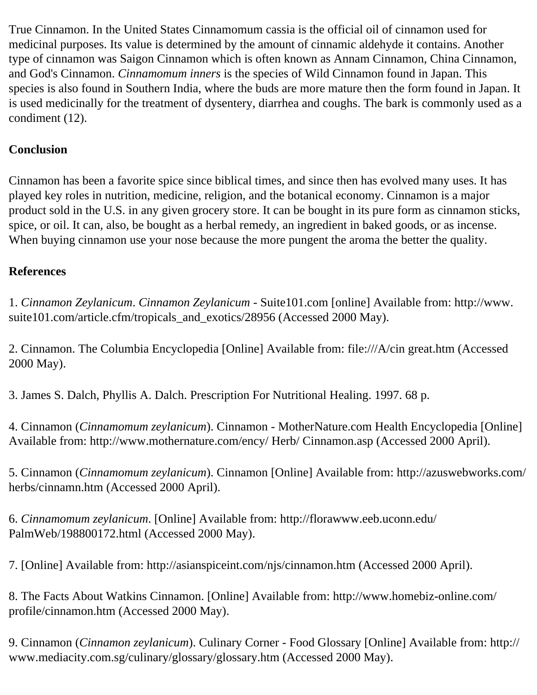True Cinnamon. In the United States Cinnamomum cassia is the official oil of cinnamon used for medicinal purposes. Its value is determined by the amount of cinnamic aldehyde it contains. Another type of cinnamon was Saigon Cinnamon which is often known as Annam Cinnamon, China Cinnamon, and God's Cinnamon. *Cinnamomum inners* is the species of Wild Cinnamon found in Japan. This species is also found in Southern India, where the buds are more mature then the form found in Japan. It is used medicinally for the treatment of dysentery, diarrhea and coughs. The bark is commonly used as a condiment (12).

# **Conclusion**

Cinnamon has been a favorite spice since biblical times, and since then has evolved many uses. It has played key roles in nutrition, medicine, religion, and the botanical economy. Cinnamon is a major product sold in the U.S. in any given grocery store. It can be bought in its pure form as cinnamon sticks, spice, or oil. It can, also, be bought as a herbal remedy, an ingredient in baked goods, or as incense. When buying cinnamon use your nose because the more pungent the aroma the better the quality.

## **References**

1. *Cinnamon Zeylanicum*. *Cinnamon Zeylanicum* - Suite101.com [online] Available from: http://www. suite101.com/article.cfm/tropicals\_and\_exotics/28956 (Accessed 2000 May).

2. Cinnamon. The Columbia Encyclopedia [Online] Available from: file:///A/cin great.htm (Accessed 2000 May).

3. James S. Dalch, Phyllis A. Dalch. Prescription For Nutritional Healing. 1997. 68 p.

4. Cinnamon (*Cinnamomum zeylanicum*). Cinnamon - MotherNature.com Health Encyclopedia [Online] Available from: http://www.mothernature.com/ency/ Herb/ Cinnamon.asp (Accessed 2000 April).

5. Cinnamon (*Cinnamomum zeylanicum*). Cinnamon [Online] Available from: http://azuswebworks.com/ herbs/cinnamn.htm (Accessed 2000 April).

6. *Cinnamomum zeylanicum*. [Online] Available from: http://florawww.eeb.uconn.edu/ PalmWeb/198800172.html (Accessed 2000 May).

7. [Online] Available from: http://asianspiceint.com/njs/cinnamon.htm (Accessed 2000 April).

8. The Facts About Watkins Cinnamon. [Online] Available from: http://www.homebiz-online.com/ profile/cinnamon.htm (Accessed 2000 May).

9. Cinnamon (*Cinnamon zeylanicum*). Culinary Corner - Food Glossary [Online] Available from: http:// www.mediacity.com.sg/culinary/glossary/glossary.htm (Accessed 2000 May).